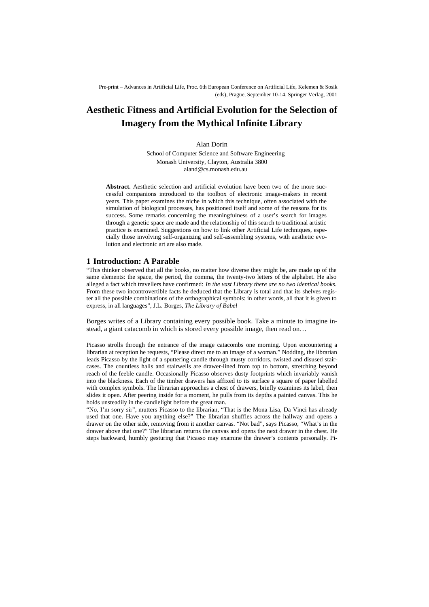# **Aesthetic Fitness and Artificial Evolution for the Selection of Imagery from the Mythical Infinite Library**

Alan Dorin

School of Computer Science and Software Engineering Monash University, Clayton, Australia 3800 aland@cs.monash.edu.au

**Abstract.** Aesthetic selection and artificial evolution have been two of the more successful companions introduced to the toolbox of electronic image-makers in recent years. This paper examines the niche in which this technique, often associated with the simulation of biological processes, has positioned itself and some of the reasons for its success. Some remarks concerning the meaningfulness of a user's search for images through a genetic space are made and the relationship of this search to traditional artistic practice is examined. Suggestions on how to link other Artificial Life techniques, especially those involving self-organizing and self-assembling systems, with aesthetic evolution and electronic art are also made.

### **1 Introduction: A Parable**

"This thinker observed that all the books, no matter how diverse they might be, are made up of the same elements: the space, the period, the comma, the twenty-two letters of the alphabet. He also alleged a fact which travellers have confirmed: *In the vast Library there are no two identical books*. From these two incontrovertible facts he deduced that the Library is total and that its shelves register all the possible combinations of the orthographical symbols: in other words, all that it is given to express, in all languages", J.L. Borges, *The Library of Babel*

Borges writes of a Library containing every possible book. Take a minute to imagine instead, a giant catacomb in which is stored every possible image, then read on…

Picasso strolls through the entrance of the image catacombs one morning. Upon encountering a librarian at reception he requests, "Please direct me to an image of a woman." Nodding, the librarian leads Picasso by the light of a sputtering candle through musty corridors, twisted and disused staircases. The countless halls and stairwells are drawer-lined from top to bottom, stretching beyond reach of the feeble candle. Occasionally Picasso observes dusty footprints which invariably vanish into the blackness. Each of the timber drawers has affixed to its surface a square of paper labelled with complex symbols. The librarian approaches a chest of drawers, briefly examines its label, then slides it open. After peering inside for a moment, he pulls from its depths a painted canvas. This he holds unsteadily in the candlelight before the great man.

"No, I'm sorry sir", mutters Picasso to the librarian, "That is the Mona Lisa, Da Vinci has already used that one. Have you anything else?" The librarian shuffles across the hallway and opens a drawer on the other side, removing from it another canvas. "Not bad", says Picasso, "What's in the drawer above that one?" The librarian returns the canvas and opens the next drawer in the chest. He steps backward, humbly gesturing that Picasso may examine the drawer's contents personally. Pi-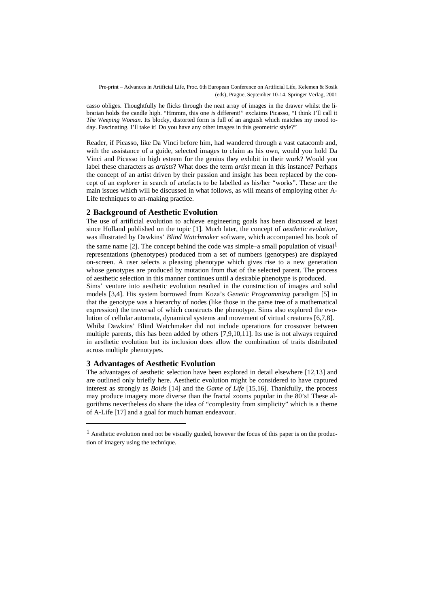casso obliges. Thoughtfully he flicks through the neat array of images in the drawer whilst the librarian holds the candle high. "Hmmm, this one *is* different!" exclaims Picasso, "I think I'll call it *The Weeping Woman*. Its blocky, distorted form is full of an anguish which matches my mood today. Fascinating. I'll take it! Do you have any other images in this geometric style?"

Reader, if Picasso, like Da Vinci before him, had wandered through a vast catacomb and, with the assistance of a guide, selected images to claim as his own, would you hold Da Vinci and Picasso in high esteem for the genius they exhibit in their work? Would you label these characters as *artists*? What does the term *artist* mean in this instance? Perhaps the concept of an artist driven by their passion and insight has been replaced by the concept of an *explorer* in search of artefacts to be labelled as his/her "works". These are the main issues which will be discussed in what follows, as will means of employing other A-Life techniques to art-making practice.

#### **2 Background of Aesthetic Evolution**

The use of artificial evolution to achieve engineering goals has been discussed at least since Holland published on the topic [1]. Much later, the concept of *aesthetic evolution*, was illustrated by Dawkins' *Blind Watchmaker* software, which accompanied his book of the same name [2]. The concept behind the code was simple–a small population of visual<sup>1</sup> representations (phenotypes) produced from a set of numbers (genotypes) are displayed on-screen. A user selects a pleasing phenotype which gives rise to a new generation whose genotypes are produced by mutation from that of the selected parent. The process of aesthetic selection in this manner continues until a desirable phenotype is produced.

Sims' venture into aesthetic evolution resulted in the construction of images and solid models [3,4]. His system borrowed from Koza's *Genetic Programming* paradigm [5] in that the genotype was a hierarchy of nodes (like those in the parse tree of a mathematical expression) the traversal of which constructs the phenotype. Sims also explored the evolution of cellular automata, dynamical systems and movement of virtual creatures [6,7,8]. Whilst Dawkins' Blind Watchmaker did not include operations for crossover between multiple parents, this has been added by others [7,9,10,11]. Its use is not always required in aesthetic evolution but its inclusion does allow the combination of traits distributed across multiple phenotypes.

#### **3 Advantages of Aesthetic Evolution**

1

The advantages of aesthetic selection have been explored in detail elsewhere [12,13] and are outlined only briefly here. Aesthetic evolution might be considered to have captured interest as strongly as *Boids* [14] and the *Game of Life* [15,16]. Thankfully, the process may produce imagery more diverse than the fractal zooms popular in the 80's! These algorithms nevertheless do share the idea of "complexity from simplicity" which is a theme of A-Life [17] and a goal for much human endeavour.

 $<sup>1</sup>$  Aesthetic evolution need not be visually guided, however the focus of this paper is on the produc-</sup> tion of imagery using the technique.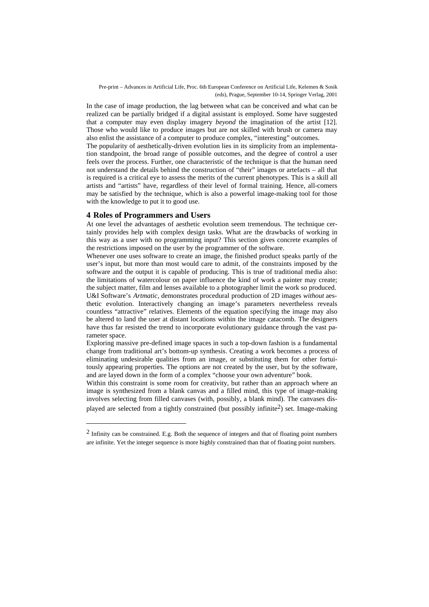In the case of image production, the lag between what can be conceived and what can be realized can be partially bridged if a digital assistant is employed. Some have suggested that a computer may even display imagery *beyond* the imagination of the artist [12]. Those who would like to produce images but are not skilled with brush or camera may also enlist the assistance of a computer to produce complex, "interesting" outcomes.

The popularity of aesthetically-driven evolution lies in its simplicity from an implementation standpoint, the broad range of possible outcomes, and the degree of control a user feels over the process. Further, one characteristic of the technique is that the human need not understand the details behind the construction of "their" images or artefacts – all that is required is a critical eye to assess the merits of the current phenotypes. This is a skill all artists and "artists" have, regardless of their level of formal training. Hence, all-comers may be satisfied by the technique, which is also a powerful image-making tool for those with the knowledge to put it to good use.

#### **4 Roles of Programmers and Users**

1

At one level the advantages of aesthetic evolution seem tremendous. The technique certainly provides help with complex design tasks. What are the drawbacks of working in this way as a user with no programming input? This section gives concrete examples of the restrictions imposed on the user by the programmer of the software.

Whenever one uses software to create an image, the finished product speaks partly of the user's input, but more than most would care to admit, of the constraints imposed by the software and the output it is capable of producing. This is true of traditional media also: the limitations of watercolour on paper influence the kind of work a painter may create; the subject matter, film and lenses available to a photographer limit the work so produced. U&I Software's *Artmatic*, demonstrates procedural production of 2D images *without* aesthetic evolution. Interactively changing an image's parameters nevertheless reveals countless "attractive" relatives. Elements of the equation specifying the image may also be altered to land the user at distant locations within the image catacomb. The designers have thus far resisted the trend to incorporate evolutionary guidance through the vast parameter space.

Exploring massive pre-defined image spaces in such a top-down fashion is a fundamental change from traditional art's bottom-up synthesis. Creating a work becomes a process of eliminating undesirable qualities from an image, or substituting them for other fortuitously appearing properties. The options are not created by the user, but by the software, and are layed down in the form of a complex "choose your own adventure" book.

Within this constraint is some room for creativity, but rather than an approach where an image is synthesized from a blank canvas and a filled mind, this type of image-making involves selecting from filled canvases (with, possibly, a blank mind). The canvases displayed are selected from a tightly constrained (but possibly infinite<sup>2</sup>) set. Image-making

<sup>2</sup> Infinity can be constrained. E.g. Both the sequence of integers and that of floating point numbers are infinite. Yet the integer sequence is more highly constrained than that of floating point numbers.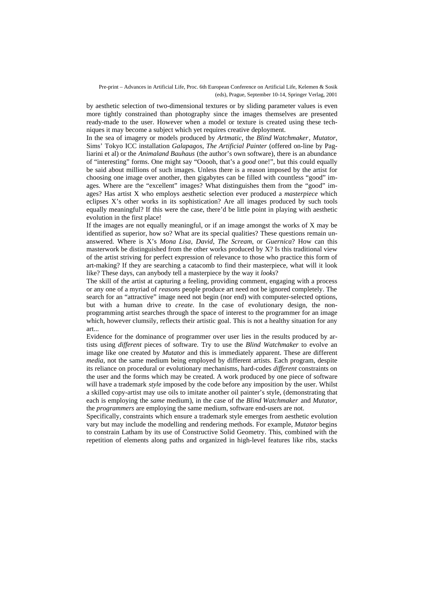by aesthetic selection of two-dimensional textures or by sliding parameter values is even more tightly constrained than photography since the images themselves are presented ready-made to the user. However when a model or texture is created using these techniques it may become a subject which yet requires creative deployment.

In the sea of imagery or models produced by *Artmatic*, the *Blind Watchmaker*, *Mutator*, Sims' Tokyo ICC installation *Galapagos*, *The Artificial Painter* (offered on-line by Pagliarini et al) or the *Animaland Bauhaus* (the author's own software), there is an abundance of "interesting" forms. One might say "Ooooh, that's a *good* one!", but this could equally be said about millions of such images. Unless there is a reason imposed by the artist for choosing one image over another, then gigabytes can be filled with countless "good" images. Where are the "excellent" images? What distinguishes them from the "good" images? Has artist X who employs aesthetic selection ever produced a *masterpiece* which eclipses X's other works in its sophistication? Are all images produced by such tools equally meaningful? If this were the case, there'd be little point in playing with aesthetic evolution in the first place!

If the images are not equally meaningful, or if an image amongst the works of  $X$  may be identified as superior, how so? What are its special qualities? These questions remain unanswered. Where is X's *Mona Lisa*, *David*, *The Scream*, or *Guernica*? How can this masterwork be distinguished from the other works produced by X? Is this traditional view of the artist striving for perfect expression of relevance to those who practice this form of art-making? If they are searching a catacomb to find their masterpiece, what will it look like? These days, can anybody tell a masterpiece by the way it *looks*?

The skill of the artist at capturing a feeling, providing comment, engaging with a process or any one of a myriad of *reasons* people produce art need not be ignored completely. The search for an "attractive" image need not begin (nor end) with computer-selected options, but with a human drive to *create*. In the case of evolutionary design, the nonprogramming artist searches through the space of interest to the programmer for an image which, however clumsily, reflects their artistic goal. This is not a healthy situation for any art...

Evidence for the dominance of programmer over user lies in the results produced by artists using *different* pieces of software. Try to use the *Blind Watchmaker* to evolve an image like one created by *Mutator* and this is immediately apparent. These are different *media*, not the same medium being employed by different artists. Each program, despite its reliance on procedural or evolutionary mechanisms, hard-codes *different* constraints on the user and the forms which may be created. A work produced by one piece of software will have a trademark *style* imposed by the code before any imposition by the user. Whilst a skilled copy-artist may use oils to imitate another oil painter's style, (demonstrating that each is employing the *same* medium), in the case of the *Blind Watchmaker* and *Mutator*, the *programmers* are employing the same medium, software end-users are not.

Specifically, constraints which ensure a trademark style emerges from aesthetic evolution vary but may include the modelling and rendering methods. For example, *Mutator* begins to constrain Latham by its use of Constructive Solid Geometry. This, combined with the repetition of elements along paths and organized in high-level features like ribs, stacks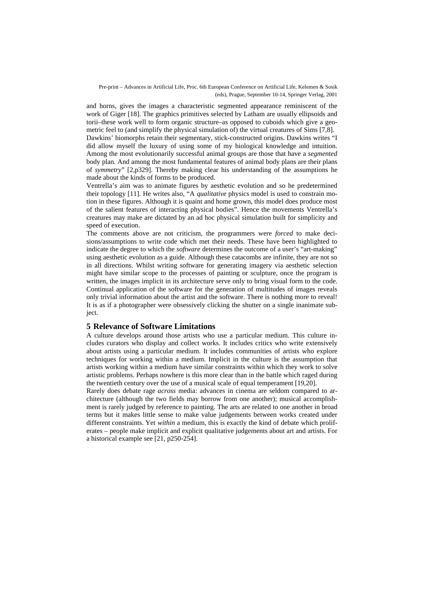and horns, gives the images a characteristic segmented appearance reminiscent of the work of Giger [18]. The graphics primitives selected by Latham are usually ellipsoids and torii–these work well to form organic structure–as opposed to cuboids which give a geometric feel to (and simplify the physical simulation of) the virtual creatures of Sims [7,8]. Dawkins' biomorphs retain their segmentary, stick-constructed origins. Dawkins writes "I did allow myself the luxury of using some of my biological knowledge and intuition. Among the most evolutionarily successful animal groups are those that have a *segmented* body plan. And among the most fundamental features of animal body plans are their plans of *symmetry*" [2,p329]. Thereby making clear his understanding of the assumptions he made about the kinds of forms to be produced.

Ventrella's aim was to animate figures by aesthetic evolution and so he predetermined their topology [11]. He writes also, "A *qualitative* physics model is used to constrain motion in these figures. Although it is quaint and home grown, this model does produce most of the salient features of interacting physical bodies". Hence the movements Ventrella's creatures may make are dictated by an ad hoc physical simulation built for simplicity and speed of execution.

The comments above are not criticism, the programmers were *forced* to make decisions/assumptions to write code which met their needs. These have been highlighted to indicate the degree to which the *software* determines the outcome of a user's "art-making" using aesthetic evolution as a guide. Although these catacombs are infinite, they are not so in all directions. Whilst writing software for generating imagery via aesthetic selection might have similar scope to the processes of painting or sculpture, once the program is written, the images implicit in its architecture serve only to bring visual form to the code. Continual application of the software for the generation of multitudes of images reveals only trivial information about the artist and the software. There is nothing more to reveal! It is as if a photographer were obsessively clicking the shutter on a single inanimate subject.

## **5 Relevance of Software Limitations**

A culture develops around those artists who use a particular medium. This culture includes curators who display and collect works. It includes critics who write extensively about artists using a particular medium. It includes communities of artists who explore techniques for working within a medium. Implicit in the culture is the assumption that artists working within a medium have similar constraints within which they work to solve artistic problems. Perhaps nowhere is this more clear than in the battle which raged during the twentieth century over the use of a musical scale of equal temperament [19,20].

Rarely does debate rage *across* media: advances in cinema are seldom compared to architecture (although the two fields may borrow from one another); musical accomplishment is rarely judged by reference to painting. The arts are related to one another in broad terms but it makes little sense to make value judgements between works created under different constraints. Yet *within* a medium, this is exactly the kind of debate which proliferates – people make implicit and explicit qualitative judgements about art and artists. For a historical example see [21, p250-254].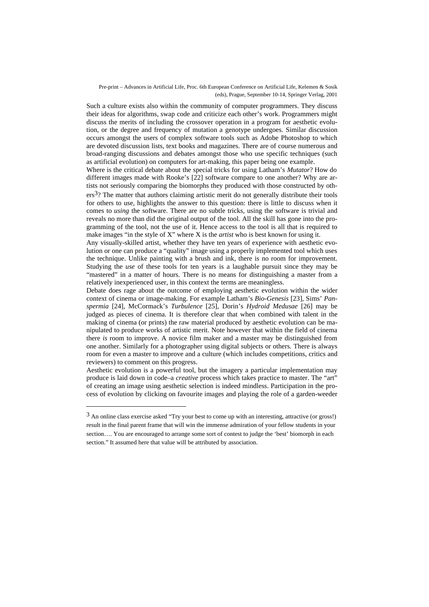Such a culture exists also within the community of computer programmers. They discuss their ideas for algorithms, swap code and criticize each other's work. Programmers might discuss the merits of including the crossover operation in a program for aesthetic evolution, or the degree and frequency of mutation a genotype undergoes. Similar discussion occurs amongst the users of complex software tools such as Adobe Photoshop to which are devoted discussion lists, text books and magazines. There are of course numerous and broad-ranging discussions and debates amongst those who use specific techniques (such as artificial evolution) on computers for art-making, this paper being one example.

Where is the critical debate about the special tricks for using Latham's *Mutator*? How do different images made with Rooke's [22] software compare to one another? Why are artists not seriously comparing the biomorphs they produced with those constructed by oth $ers<sup>3</sup>$ ? The matter that authors claiming artistic merit do not generally distribute their tools for others to use, highlights the answer to this question: there is little to discuss when it comes to *using* the software. There are no subtle tricks, using the software is trivial and reveals no more than did the original output of the tool. All the skill has gone into the programming of the tool, not the use of it. Hence access to the tool is all that is required to make images "in the style of X" where X is the *artist* who is best known for using it.

Any visually-skilled artist, whether they have ten years of experience with aesthetic evolution or one can produce a "quality" image using a properly implemented tool which uses the technique. Unlike painting with a brush and ink, there is no room for improvement. Studying the *use* of these tools for ten years is a laughable pursuit since they may be "mastered" in a matter of hours. There is no means for distinguishing a master from a relatively inexperienced user, in this context the terms are meaningless.

Debate does rage about the outcome of employing aesthetic evolution within the wider context of cinema or image-making. For example Latham's *Bio-Genesis* [23], Sims' *Panspermia* [24], McCormack's *Turbulence* [25], Dorin's *Hydroid Medusae* [26] may be judged as pieces of cinema. It is therefore clear that when combined with talent in the making of cinema (or prints) the raw material produced by aesthetic evolution can be manipulated to produce works of artistic merit. Note however that within the field of cinema there *is* room to improve. A novice film maker and a master may be distinguished from one another. Similarly for a photographer using digital subjects or others. There is always room for even a master to improve and a culture (which includes competitions, critics and reviewers) to comment on this progress.

Aesthetic evolution is a powerful tool, but the imagery a particular implementation may produce is laid down in code–a *creative* process which takes practice to master. The "art" of creating an image using aesthetic selection is indeed mindless. Participation in the process of evolution by clicking on favourite images and playing the role of a garden-weeder

1

<sup>3</sup> An online class exercise asked "Try your best to come up with an interesting, attractive (or gross!) result in the final parent frame that will win the immense admiration of your fellow students in your section.... You are encouraged to arrange some sort of contest to judge the 'best' biomorph in each section." It assumed here that value will be attributed by association.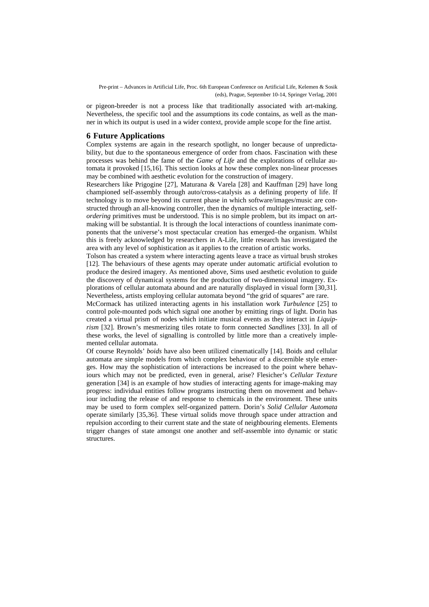or pigeon-breeder is not a process like that traditionally associated with art-making. Nevertheless, the specific tool and the assumptions its code contains, as well as the manner in which its output is used in a wider context, provide ample scope for the fine artist.

#### **6 Future Applications**

Complex systems are again in the research spotlight, no longer because of unpredictability, but due to the spontaneous emergence of order from chaos. Fascination with these processes was behind the fame of the *Game of Life* and the explorations of cellular automata it provoked [15,16]. This section looks at how these complex non-linear processes may be combined with aesthetic evolution for the construction of imagery.

Researchers like Prigogine [27], Maturana & Varela [28] and Kauffman [29] have long championed self-assembly through auto/cross-catalysis as a defining property of life. If technology is to move beyond its current phase in which software/images/music are constructed through an all-knowing controller, then the dynamics of multiple interacting, self*ordering* primitives must be understood. This is no simple problem, but its impact on artmaking will be substantial. It is through the local interactions of countless inanimate components that the universe's most spectacular creation has emerged–the organism. Whilst this is freely acknowledged by researchers in A-Life, little research has investigated the area with any level of sophistication as it applies to the creation of artistic works.

Tolson has created a system where interacting agents leave a trace as virtual brush strokes [12]. The behaviours of these agents may operate under automatic artificial evolution to produce the desired imagery. As mentioned above, Sims used aesthetic evolution to guide the discovery of dynamical systems for the production of two-dimensional imagery. Explorations of cellular automata abound and are naturally displayed in visual form [30,31]. Nevertheless, artists employing cellular automata beyond "the grid of squares" are rare.

McCormack has utilized interacting agents in his installation work *Turbulence* [25] to control pole-mounted pods which signal one another by emitting rings of light. Dorin has created a virtual prism of nodes which initiate musical events as they interact in *Liquiprism* [32]. Brown's mesmerizing tiles rotate to form connected *Sandlines* [33]. In all of these works, the level of signalling is controlled by little more than a creatively implemented cellular automata.

Of course Reynolds' *boids* have also been utilized cinematically [14]. Boids and cellular automata are simple models from which complex behaviour of a discernible style emerges. How may the sophistication of interactions be increased to the point where behaviours which may not be predicted, even in general, arise? Flesicher's *Cellular Texture* generation [34] is an example of how studies of interacting agents for image-making may progress: individual entities follow programs instructing them on movement and behaviour including the release of and response to chemicals in the environment. These units may be used to form complex self-organized pattern. Dorin's *Solid Cellular Automata* operate similarly [35,36]. These virtual solids move through space under attraction and repulsion according to their current state and the state of neighbouring elements. Elements trigger changes of state amongst one another and self-assemble into dynamic or static structures.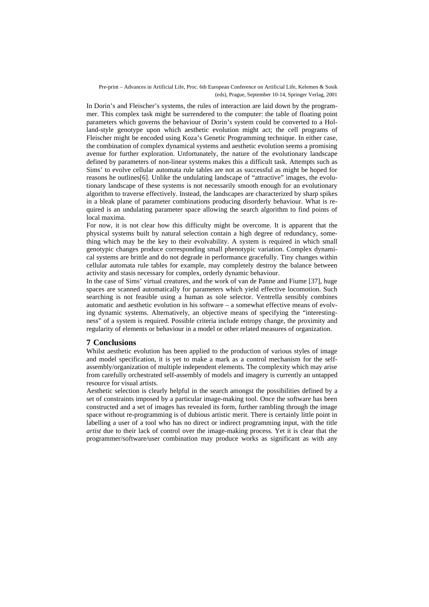In Dorin's and Fleischer's systems, the rules of interaction are laid down by the programmer. This complex task might be surrendered to the computer: the table of floating point parameters which governs the behaviour of Dorin's system could be converted to a Holland-style genotype upon which aesthetic evolution might act; the cell programs of Fleischer might be encoded using Koza's Genetic Programming technique. In either case, the combination of complex dynamical systems and aesthetic evolution seems a promising avenue for further exploration. Unfortunately, the nature of the evolutionary landscape defined by parameters of non-linear systems makes this a difficult task. Attempts such as Sims' to evolve cellular automata rule tables are not as successful as might be hoped for reasons he outlines[6]. Unlike the undulating landscape of "attractive" images, the evolutionary landscape of these systems is not necessarily smooth enough for an evolutionary algorithm to traverse effectively. Instead, the landscapes are characterized by sharp spikes in a bleak plane of parameter combinations producing disorderly behaviour. What is required is an undulating parameter space allowing the search algorithm to find points of local maxima.

For now, it is not clear how this difficulty might be overcome. It is apparent that the physical systems built by natural selection contain a high degree of redundancy, something which may be the key to their evolvability. A system is required in which small genotypic changes produce corresponding small phenotypic variation. Complex dynamical systems are brittle and do not degrade in performance gracefully. Tiny changes within cellular automata rule tables for example, may completely destroy the balance between activity and stasis necessary for complex, orderly dynamic behaviour.

In the case of Sims' virtual creatures, and the work of van de Panne and Fiume [37], huge spaces are scanned automatically for parameters which yield effective locomotion. Such searching is not feasible using a human as sole selector. Ventrella sensibly combines automatic and aesthetic evolution in his software – a somewhat effective means of evolving dynamic systems. Alternatively, an objective means of specifying the "interestingness" of a system is required. Possible criteria include entropy change, the proximity and regularity of elements or behaviour in a model or other related measures of organization.

## **7 Conclusions**

Whilst aesthetic evolution has been applied to the production of various styles of image and model specification, it is yet to make a mark as a control mechanism for the selfassembly/organization of multiple independent elements. The complexity which may arise from carefully orchestrated self-assembly of models and imagery is currently an untapped resource for visual artists.

Aesthetic selection is clearly helpful in the search amongst the possibilities defined by a set of constraints imposed by a particular image-making tool. Once the software has been constructed and a set of images has revealed its form, further rambling through the image space without re-programming is of dubious artistic merit. There is certainly little point in labelling a user of a tool who has no direct or indirect programming input, with the title *artist* due to their lack of control over the image-making process. Yet it is clear that the programmer/software/user combination may produce works as significant as with any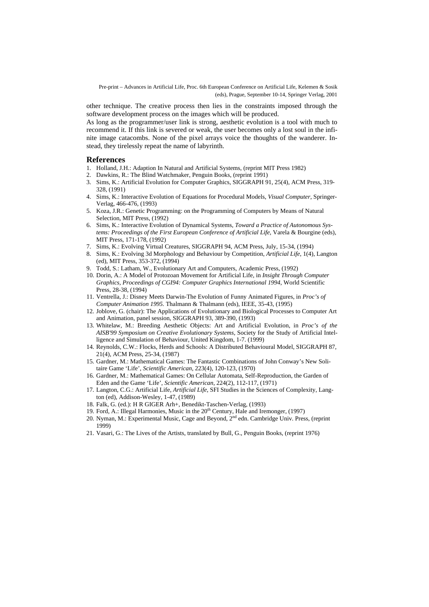other technique. The creative process then lies in the constraints imposed through the software development process on the images which will be produced.

As long as the programmer/user link is strong, aesthetic evolution is a tool with much to recommend it. If this link is severed or weak, the user becomes only a lost soul in the infinite image catacombs. None of the pixel arrays voice the thoughts of the wanderer. Instead, they tirelessly repeat the name of labyrinth.

#### **References**

- 1. Holland, J.H.: Adaption In Natural and Artificial Systems, (reprint MIT Press 1982)
- 2. Dawkins, R.: The Blind Watchmaker, Penguin Books, (reprint 1991)
- 3. Sims, K.: Artificial Evolution for Computer Graphics, SIGGRAPH 91, 25(4), ACM Press, 319- 328, (1991)
- 4. Sims, K.: Interactive Evolution of Equations for Procedural Models, *Visual Computer*, Springer-Verlag, 466-476, (1993)
- 5. Koza, J.R.: Genetic Programming: on the Programming of Computers by Means of Natural Selection, MIT Press, (1992)
- 6. Sims, K.: Interactive Evolution of Dynamical Systems, *Toward a Practice of Autonomous Systems: Proceedings of the First European Conference of Artificial Life*, Varela & Bourgine (eds), MIT Press, 171-178, (1992)
- 7. Sims, K.: Evolving Virtual Creatures, SIGGRAPH 94, ACM Press, July, 15-34, (1994)
- 8. Sims, K.: Evolving 3d Morphology and Behaviour by Competition, *Artificial Life*, 1(4), Langton (ed), MIT Press, 353-372, (1994)
- 9. Todd, S.: Latham, W., Evolutionary Art and Computers, Academic Press, (1992)
- 10. Dorin, A.: A Model of Protozoan Movement for Artificial Life, in *Insight Through Computer Graphics, Proceedings of CGI94: Computer Graphics International 1994*, World Scientific Press, 28-38, (1994)
- 11. Ventrella, J.: Disney Meets Darwin-The Evolution of Funny Animated Figures, in *Proc's of Computer Animation 1995.* Thalmann & Thalmann (eds), IEEE, 35-43, (1995)
- 12. Joblove, G. (chair): The Applications of Evolutionary and Biological Processes to Computer Art and Animation, panel session, SIGGRAPH 93, 389-390, (1993)
- 13. Whitelaw, M.: Breeding Aesthetic Objects: Art and Artificial Evolution, in *Proc's of the AISB'99 Symposium on Creative Evolutionary Systems*, Society for the Study of Artificial Intelligence and Simulation of Behaviour, United Kingdom, 1-7. (1999)
- 14. Reynolds, C.W.: Flocks, Herds and Schools: A Distributed Behavioural Model, SIGGRAPH 87, 21(4), ACM Press, 25-34, (1987)
- 15. Gardner, M.: Mathematical Games: The Fantastic Combinations of John Conway's New Solitaire Game 'Life', *Scientific American*, 223(4), 120-123, (1970)
- 16. Gardner, M.: Mathematical Games: On Cellular Automata, Self-Reproduction, the Garden of Eden and the Game 'Life', *Scientific American*, 224(2), 112-117, (1971)
- 17. Langton, C.G.: Artificial Life, *Artificial Life*, SFI Studies in the Sciences of Complexity, Langton (ed), Addison-Wesley, 1-47, (1989)
- 18. Falk, G. (ed.): H R GIGER Arh+, Benedikt-Taschen-Verlag, (1993)
- 19. Ford, A.: Illegal Harmonies, Music in the 20<sup>th</sup> Century, Hale and Iremonger, (1997)
- 20. Nyman, M.: Experimental Music, Cage and Beyond, 2<sup>nd</sup> edn. Cambridge Univ. Press, (reprint 1999)
- 21. Vasari, G.: The Lives of the Artists, translated by Bull, G., Penguin Books, (reprint 1976)